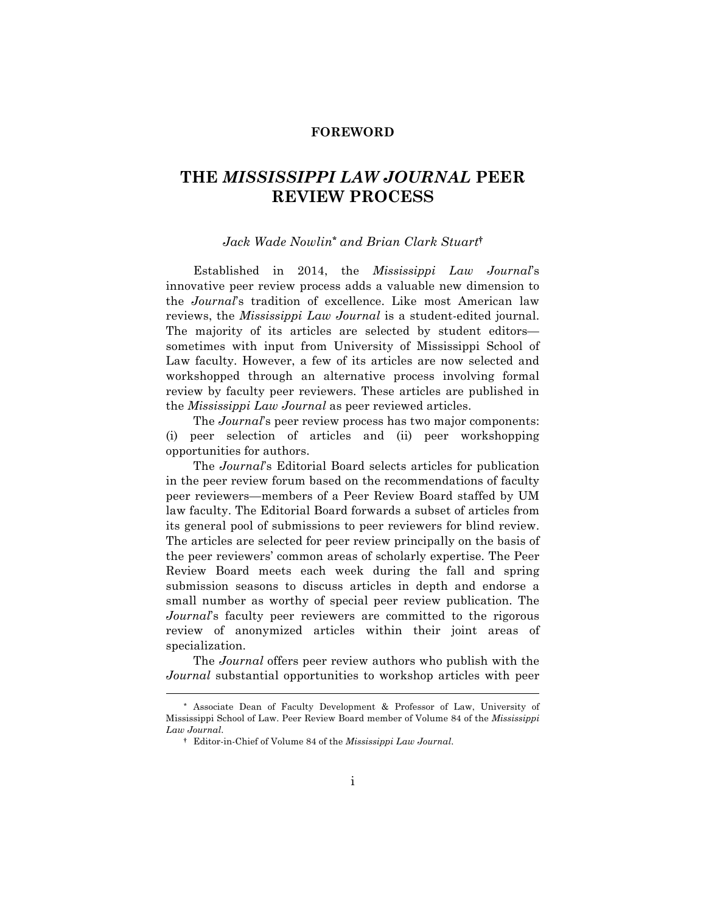## **FOREWORD**

## **THE** *MISSISSIPPI LAW JOURNAL* **PEER REVIEW PROCESS**

## *Jack Wade Nowlin***\*** *and Brian Clark Stuart***†**

Established in 2014, the *Mississippi Law Journal*'s innovative peer review process adds a valuable new dimension to the *Journal*'s tradition of excellence. Like most American law reviews, the *Mississippi Law Journal* is a student-edited journal. The majority of its articles are selected by student editors sometimes with input from University of Mississippi School of Law faculty. However, a few of its articles are now selected and workshopped through an alternative process involving formal review by faculty peer reviewers. These articles are published in the *Mississippi Law Journal* as peer reviewed articles.

The *Journal*'s peer review process has two major components: (i) peer selection of articles and (ii) peer workshopping opportunities for authors.

The *Journal*'s Editorial Board selects articles for publication in the peer review forum based on the recommendations of faculty peer reviewers—members of a Peer Review Board staffed by UM law faculty. The Editorial Board forwards a subset of articles from its general pool of submissions to peer reviewers for blind review. The articles are selected for peer review principally on the basis of the peer reviewers' common areas of scholarly expertise. The Peer Review Board meets each week during the fall and spring submission seasons to discuss articles in depth and endorse a small number as worthy of special peer review publication. The *Journal*'s faculty peer reviewers are committed to the rigorous review of anonymized articles within their joint areas of specialization.

The *Journal* offers peer review authors who publish with the *Journal* substantial opportunities to workshop articles with peer

 $\overline{a}$ 

**<sup>\*</sup>** Associate Dean of Faculty Development & Professor of Law, University of Mississippi School of Law. Peer Review Board member of Volume 84 of the *Mississippi Law Journal*.

**<sup>†</sup>** Editor-in-Chief of Volume 84 of the *Mississippi Law Journal*.